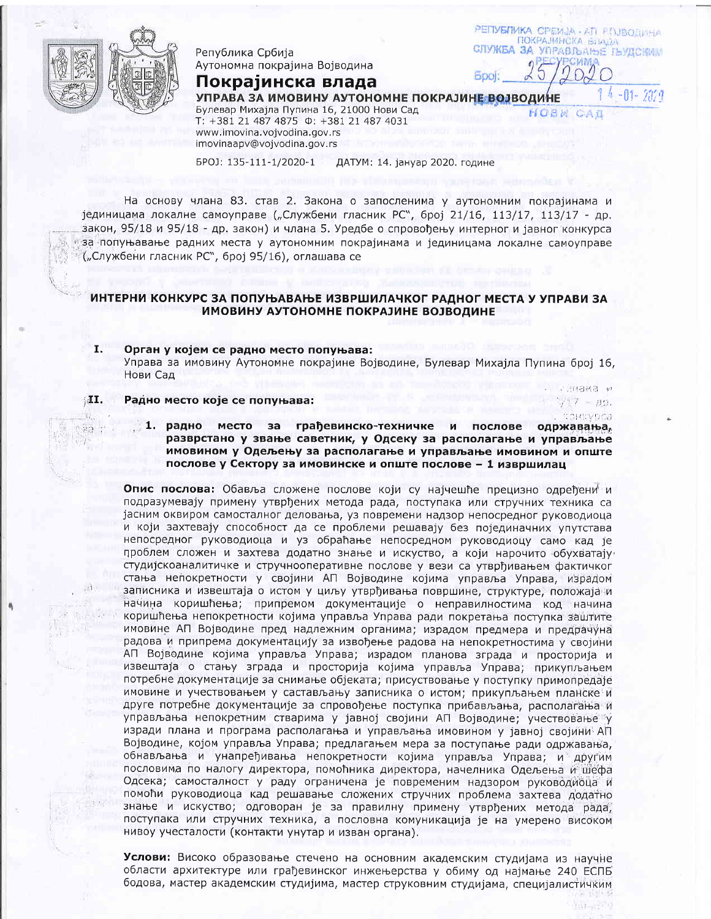

55

Република Србија Аутономна покрајина Војводина

Покрајинска влада

РЕПУБЛИКА СРБИЈА - ATT PENBOJINHA ПОКРАЈИНСКА БЛАДА СЛУЖБА ЗА УПРАВЉАЊЕ ЉУДСКИМ **SWIN** 

**M. BMBH:** 

 $7.7 - 0.9.$ CONTRADCB

 $4 - 01 - 2029$ 

УПРАВА ЗА ИМОВИНУ АУТОНОМНЕ ПОКРАЈИНЕ ВОЈВОДИНЕ

Булевар Михајла Пупина 16, 21000 Нови Сад T: +381 21 487 4875 0: +381 21 487 4031 www.imovina.vojvodina.gov.rs imovinaapv@vojvodina.gov.rs

BPOJ: 135-111-1/2020-1 ДАТУМ: 14. јануар 2020. године

На основу члана 83. став 2. Закона о запосленима у аутономним покрајинама и јединицама локалне самоуправе ("Службени гласник РС", број 21/16, 113/17, 113/17 - др. закон, 95/18 и 95/18 - др. закон) и члана 5. Уредбе о спровођењу интерног и јавног конкурса за попуњавање радних места у аутономним покрајинама и јединицама локалне самоуправе ("Службени гласник РС", број 95/16), оглашава се

# ИНТЕРНИ КОНКУРС ЗА ПОПУЊАВАЊЕ ИЗВРШИЛАЧКОГ РАДНОГ МЕСТА У УПРАВИ ЗА ИМОВИНУ АУТОНОМНЕ ПОКРАЈИНЕ ВОЈВОДИНЕ

## I. Орган у којем се радно место попуњава: Управа за имовину Аутономне покрајине Војводине, Булевар Михајла Пупина број 16, Нови Сад

#### MI. Радно место које се попуњава:

1. радно место за грађевинско-техничке  $M$ послове одржавања, разврстано у звање саветник, у Одсеку за располагање и управљање имовином у Одељењу за располагање и управљање имовином и опште послове у Сектору за имовинске и опште послове - 1 извршилац

Опис послова: Обавља сложене послове који су најчешће прецизно одређени и подразумевају примену утврђених метода рада, поступака или стручних техника са јасним оквиром самосталног деловања, уз повремени надзор непосредног руководиоца и који захтевају способност да се проблеми решавају без појединачних упутстава непосредног руководиоца и уз обраћање непосредном руководиоцу само кад је проблем сложен и захтева додатно знање и искуство, а који нарочито обухватају студијскоаналитичке и стручнооперативне послове у вези са утврђивањем фактичког стања непокретности у својини АП Војводине којима управља Управа, израдом записника и извештаја о истом у циљу утврђивања површине, структуре, положаја и начина коришћења; припремом документације о неправилностима код начина коришћења непокретности којима управља Управа ради покретања поступка заштите имовине АП Војводине пред надлежним органима; израдом предмера и предрачуна радова и припрема документацију за извођење радова на непокретностима у својини АП Војводине којима управља Управа; израдом планова зграда и просторија и извештаја о стању зграда и просторија којима управља Управа; прикупљањем потребне документације за снимање објеката; присуствовање у поступку примопредаје имовине и учествовањем у састављању записника о истом; прикупљањем планске и друге потребне документације за спровођење поступка прибављања, располагања и управљања непокретним стварима у јавној својини АП Војводине; учествовање у изради плана и програма располагања и управљања имовином у јавној својини АП Војводине, којом управља Управа; предлагањем мера за поступање ради одржавања, обнављања и унапређивања непокретности којима управља Управа; и другим пословима по налогу директора, помоћника директора, начелника Одељења и шефа Одсека; самосталност у раду ограничена је повременим надзором руководиоца и помоћи руководиоца кад решавање сложених стручних проблема захтева додатно знање и искуство; одговоран је за правилну примену утврђених метода рада, поступака или стручних техника, а пословна комуникација је на умерено високом нивоу учесталости (контакти унутар и изван органа).

Услови: Високо образовање стечено на основним академским студијама из научне области архитектуре или грађевинског инжењерства у обиму од најмање 240 ЕСПБ бодова, мастер академским студијима, мастер струковним студијама, специјалистичким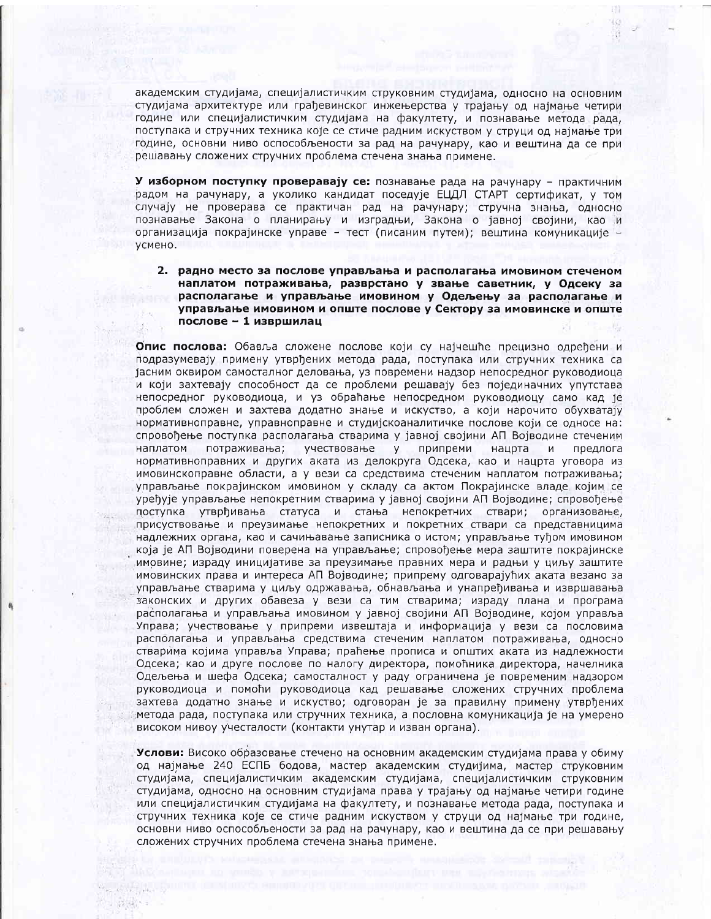академским студијама, специјалистичким струковним студијама, односно на основним студијама архитектуре или грађевинског инжењерства у трајању од најмање четири године или специјалистичким студијама на факултету, и познавање метода рада, поступака и стручних техника које се стиче радним искуством у струци од најмање три године, основни ниво оспособљености за рад на рачунару, као и вештина да се при решавању сложених стручних проблема стечена знања примене.

-33

У изборном поступку проверавају се: познавање рада на рачунару - практичним радом на рачунару, а уколико кандидат поседује ЕЦДЛ СТАРТ сертификат, у том случају не проверава се практичан рад на рачунару; стручна знања, односно познавање Закона о планирању и изградњи, Закона о јавној својини, као и организација покрајинске управе - тест (писаним путем); вештина комуникације усмено.

2. радно место за послове управљања и располагања имовином стеченом наплатом потраживања, разврстано у звање саветник, у Одсеку за располагање и управљање имовином у Одељењу за располагање и управљање имовином и опште послове у Сектору за имовинске и опште послове - 1 извршилац

Опис послова: Обавља сложене послове који су најчешће прецизно одређени и подразумевају примену утврђених метода рада, поступака или стручних техника са јасним оквиром самосталног деловања, уз повремени надзор непосредног руководиоца и који захтевају способност да се проблеми решавају без појединачних упутстава непосредног руководиоца, и уз обраћање непосредном руководиоцу само кад је проблем сложен и захтева додатно знање и искуство, а који нарочито обухватају нормативноправне, управноправне и студијскоаналитичке послове који се односе на: спровођење поступка располагања стварима у јавној својини АП Војводине стеченим наплатом потраживања; учествовање у припреми нацрта  $M$ предлога нормативноправних и других аката из делокруга Одсека, као и нацрта уговора из имовинскоправне области, а у вези са средствима стеченим наплатом потраживања; управљање покрајинском имовином у складу са актом Покрајинске владе којим се уређује управљање непокретним стварима у јавној својини АП Војводине; спровођење поступка утврђивања статуса и стања непокретних ствари; организовање, присуствовање и преузимање непокретних и покретних ствари са представницима надлежних органа, као и сачињавање записника о истом; управљање туђом имовином која је АП Војводини поверена на управљање; спровођење мера заштите покрајинске имовине; израду иницијативе за преузимање правних мера и радњи у циљу заштите имовинских права и интереса АП Војводине; припрему одговарајућих аката везано за управљање стварима у циљу одржавања, обнављања и унапређивања и извршавања законских и других обавеза у вези са тим стварима; израду плана и програма располагања и управљања имовином у јавној својини АП Војводине, којом управља Управа; учествовање у припреми извештаја и информација у вези са пословима располагања и управљања средствима стеченим наплатом потраживања, односно стварима којима управља Управа; праћење прописа и општих аката из надлежности Одсека; као и друге послове по налогу директора, помоћника директора, начелника Одељења и шефа Одсека; самосталност у раду ограничена је повременим надзором руководиоца и помоћи руководиоца кад решавање сложених стручних проблема захтева додатно знање и искуство; одговоран је за правилну примену утврђених метода рада, поступака или стручних техника, а пословна комуникација је на умерено. високом нивоу учесталости (контакти унутар и изван органа).

Услови: Високо образовање стечено на основним академским студијама права у обиму од најмање 240 ЕСПБ бодова, мастер академским студијима, мастер струковним студијама, специјалистичким академским студијама, специјалистичким струковним студијама, односно на основним студијама права у трајању од најмање четири године или специјалистичким студијама на факултету, и познавање метода рада, поступака и стручних техника које се стиче радним искуством у струци од најмање три године, основни ниво оспособљености за рад на рачунару, као и вештина да се при решавању сложених стручних проблема стечена знања примене.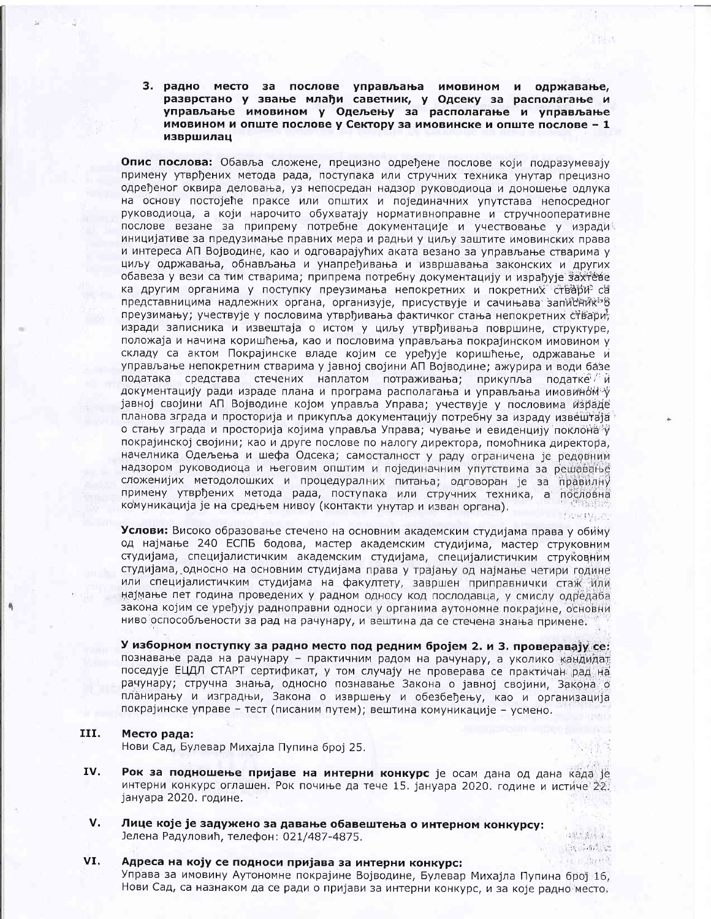3. радно место за послове управљања имовином и одржавање, разврстано у звање млађи саветник, у Одсеку за располагање и управљање имовином у Одељењу за располагање и управљање имовином и опште послове у Сектору за имовинске и опште послове - 1 извршилац

Опис послова: Обавља сложене, прецизно одређене послове који подразумевају примену утврђених метода рада, поступака или стручних техника унутар прецизно одређеног оквира деловања, уз непосредан надзор руководиоца и доношење одлука на основу постојеће праксе или општих и појединачних упутстава непосредног руководиоца, а који нарочито обухватају нормативноправне и стручнооперативне послове везане за припрему потребне документације и учествовање у изради иницијативе за предузимање правних мера и радњи у циљу заштите имовинских права и интереса АП Војводине, као и одговарајућих аката везано за управљање стварима у циљу одржавања, обнављања и унапређивања и извршавања законских и других обавеза у вези са тим стварима; припрема потребну документацију и израђује захтеве ка другим органима у поступку преузимања непокретних и покретних ствари са представницима надлежних органа, организује, присуствује и сачињава записник<sup>и</sup>в преузимању; учествује у пословима утврђивања фактичког стања непокретних ствари; изради записника и извештаја о истом у циљу утврђивања површине, структуре, положаја и начина коришћења, као и пословима управљања покрајинском имовином у складу са актом Покрајинске владе којим се уређује коришћење, одржавање и управљање непокретним стварима у јавној својини АП Војводине; ажурира и води базе података средстава стечених наплатом потраживања; прикупља податке ди документацију ради израде плана и програма располагања и управљања имовином у јавној својини АП Војводине којом управља Управа; учествује у пословима израде планова зграда и просторија и прикупља документацију потребну за израду извештаја о стању зграда и просторија којима управља Управа; чување и евиденцију поклона у покрајинској својини; као и друге послове по налогу директора, помоћника директора, начелника Одељења и шефа Одсека; самосталност у раду ограничена је редовним надзором руководиоца и његовим општим и појединачним упутствима за решавање сложенијих методолошких и процедуралних питања; одговоран је за правилну примену утврђених метода рада, поступака или стручних техника, а пословна комуникација је на средњем нивоу (контакти унутар и изван органа).

Услови: Високо образовање стечено на основним академским студијама права у обиму од најмање 240 ЕСПБ бодова, мастер академским студијима, мастер струковним студијама, специјалистичким академским студијама, специјалистичким струковним студијама, односно на основним студијама права у трајању од најмање четири године или специјалистичким студијама на факултету, завршен приправнички стаж или најмање пет година проведених у радном односу код послодавца, у смислу одредаба закона којим се уређују радноправни односи у органима аутономне покрајине, основни ниво оспособљености за рад на рачунару, и вештина да се стечена знања примене.

У изборном поступку за радно место под редним бројем 2. и 3. проверавају се: познавање рада на рачунару - практичним радом на рачунару, а уколико кандидат поседује ЕЦДЛ СТАРТ сертификат, у том случају не проверава се практичан рад на рачунару; стручна знања, односно познавање Закона о јавној својини, Закона о планирању и изградњи, Закона о извршењу и обезбеђењу, као и организација покрајинске управе - тест (писаним путем); вештина комуникације - усмено.

#### III. Место рада:

Нови Сад, Булевар Михајла Пупина број 25.

- IV. Рок за подношење пријаве на интерни конкурс је осам дана од дана када је интерни конкурс оглашен. Рок почиње да тече 15. јануара 2020. године и истиче 22. јануара 2020. године.
- V. Лице које је задужено за давање обавештења о интерном конкурсу: Јелена Радуловић, телефон: 021/487-4875.

## VI. Адреса на коју се подноси пријава за интерни конкурс:

Управа за имовину Аутономне покрајине Војводине, Булевар Михајла Пупина број 16, Нови Сад, са назнаком да се ради о пријави за интерни конкурс, и за које радно место.

 $5.3 + 3.11 + 1.$ 

 $\sim$   $\sim$   $\sim$   $\sim$   $\sim$   $\sim$